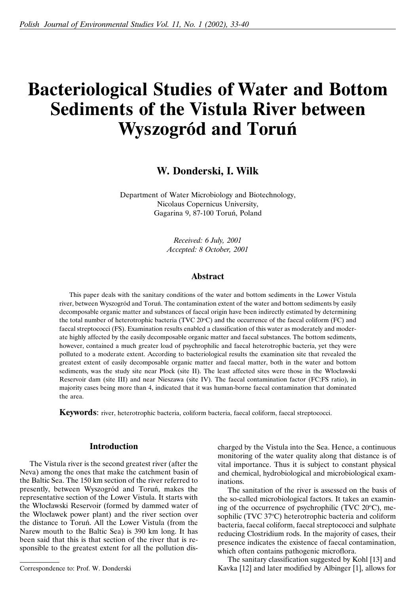# **Bacteriological Studies of Water and Bottom Sediments of the Vistula River between Wyszogród and Toruń**

**W. Donderski, I. Wilk**

Department of Water Microbiology and Biotechnology, Nicolaus Copernicus University, Gagarina 9, 87-100 Toruń, Poland

> *Received: 6 July, 2001 Accepted: 8 October, 2001*

# **Abstract**

This paper deals with the sanitary conditions of the water and bottom sediments in the Lower Vistula river, between Wyszogród and Toruń. The contamination extent of the water and bottom sediments by easily decomposable organic matter and substances of faecal origin have been indirectly estimated by determining the total number of heterotrophic bacteria (TVC  $20^{\circ}$ C) and the occurrence of the faecal coliform (FC) and faecal streptococci (FS). Examination results enabled a classification of this water as moderately and moderate highly affected by the easily decomposable organic matter and faecal substances. The bottom sediments, however, contained a much greater load of psychrophilic and faecal heterotrophic bacteria, yet they were polluted to a moderate extent. According to bacteriological results the examination site that revealed the greatest extent of easily decomposable organic matter and faecal matter, both in the water and bottom sediments, was the study site near Płock (site II). The least affected sites were those in the Włocławski Reservoir dam (site III) and near Nieszawa (site IV). The faecal contamination factor (FC:FS ratio), in majority cases being more than 4, indicated that it was human-borne faecal contamination that dominated the area.

**Keywords**: river, heterotrophic bacteria, coliform bacteria, faecal coliform, faecal streptococci.

# **Introduction**

The Vistula river is the second greatest river (after the Neva) among the ones that make the catchment basin of the Baltic Sea. The 150 km section of the river referred to presently, between Wyszogród and Toruń, makes the representative section of the Lower Vistula. It starts with the Włocławski Reservoir (formed by dammed water of the Włocławek power plant) and the river section over the distance to Toruń. All the Lower Vistula (from the Narew mouth to the Baltic Sea) is 390 km long. It has been said that this is that section of the river that is responsible to the greatest extent for all the pollution discharged by the Vistula into the Sea. Hence, a continuous monitoring of the water quality along that distance is of vital importance. Thus it is subject to constant physical and chemical, hydrobiological and microbiological examinations.

The sanitation of the river is assessed on the basis of the so-called microbiological factors. It takes an examining of the occurrence of psychrophilic (TVC  $20^{\circ}$ C), mesophilic (TVC 37°C) heterotrophic bacteria and coliform bacteria, faecal coliform, faecal streptococci and sulphate reducing Clostridium rods. In the majority of cases, their presence indicates the existence of faecal contamination, which often contains pathogenic microflora.

The sanitary classification suggested by Kohl [13] and Kavka [12] and later modified by Albinger [1], allows for

Correspondence to: Prof. W. Donderski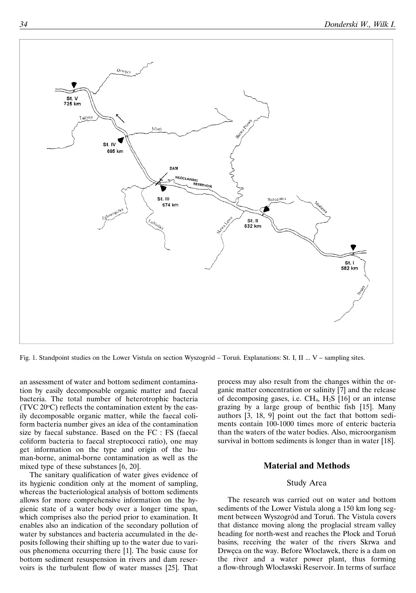

Fig. 1. Standpoint studies on the Lower Vistula on section Wyszogród – Toruń. Explanations: St. I, II ... V – sampling sites.

an assessment of water and bottom sediment contamination by easily decomposable organic matter and faecal bacteria. The total number of heterotrophic bacteria  $(TVC 20°C)$  reflects the contamination extent by the easily decomposable organic matter, while the faecal coliform bacteria number gives an idea of the contamination size by faecal substance. Based on the FC : FS (faecal coliform bacteria to faecal streptococci ratio), one may get information on the type and origin of the human-borne, animal-borne contamination as well as the mixed type of these substances [6, 20].

The sanitary qualification of water gives evidence of its hygienic condition only at the moment of sampling, whereas the bacteriological analysis of bottom sediments allows for more comprehensive information on the hygienic state of a water body over a longer time span, which comprises also the period prior to examination. It enables also an indication of the secondary pollution of water by substances and bacteria accumulated in the deposits following their shifting up to the water due to various phenomena occurring there [1]. The basic cause for bottom sediment resuspension in rivers and dam reservoirs is the turbulent flow of water masses [25]. That process may also result from the changes within the organic matter concentration or salinity [7] and the release of decomposing gases, i.e.  $CH_4$ ,  $H_2S$  [16] or an intense grazing by a large group of benthic fish [15]. Many authors [3, 18, 9] point out the fact that bottom sediments contain 100-1000 times more of enteric bacteria than the waters of the water bodies. Also, microorganism survival in bottom sediments is longer than in water [18].

# **Material and Methods**

#### Study Area

The research was carried out on water and bottom sediments of the Lower Vistula along a 150 km long segment between Wyszogród and Toruń. The Vistula covers that distance moving along the proglacial stream valley heading for north-west and reaches the Płock and Toruń basins, receiving the water of the rivers Skrwa and Drwęca on the way. Before Włocławek, there is a dam on the river and a water power plant, thus forming a flow-through Włocławski Reservoir. In terms of surface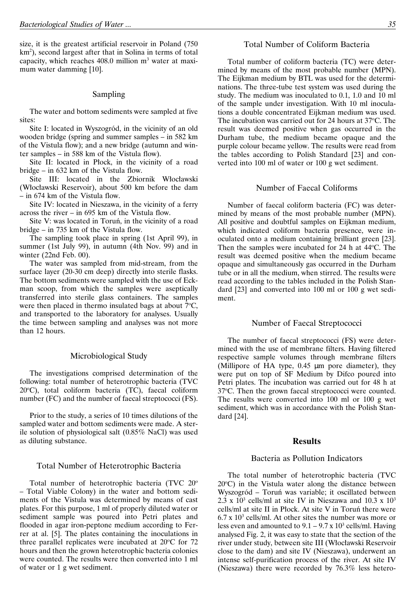size, it is the greatest artificial reservoir in Poland (750 km2 ), second largest after that in Solina in terms of total capacity, which reaches  $408.0$  million  $m<sup>3</sup>$  water at maximum water damming [10].

# Sampling

The water and bottom sediments were sampled at five sites:

Site I: located in Wyszogród, in the vicinity of an old wooden bridge (spring and summer samples – in 582 km of the Vistula flow); and a new bridge (autumn and winter samples – in 588 km of the Vistula flow).

Site II: located in Płock, in the vicinity of a road bridge – in 632 km of the Vistula flow.

Site III: located in the Zbiornik Włocławski (Włocławski Reservoir), about 500 km before the dam – in 674 km of the Vistula flow.

Site IV: located in Nieszawa, in the vicinity of a ferry across the river – in 695 km of the Vistula flow.

Site V: was located in Toruń, in the vicinity of a road bridge – in 735 km of the Vistula flow.

The sampling took place in spring (1st April 99), in summer (1st July 99), in autumn (4th Nov. 99) and in winter (22nd Feb. 00).

The water was sampled from mid-stream, from the surface layer (20-30 cm deep) directly into sterile flasks. The bottom sediments were sampled with the use of Eckman scoop, from which the samples were aseptically transferred into sterile glass containers. The samples were then placed in thermo insulated bags at about  $7^{\circ}$ C, and transported to the laboratory for analyses. Usually the time between sampling and analyses was not more than 12 hours.

# Microbiological Study

The investigations comprised determination of the following: total number of heterotrophic bacteria (TVC 20°C), total coliform bacteria (TC), faecal coliform number (FC) and the number of faecal streptococci (FS).

Prior to the study, a series of 10 times dilutions of the sampled water and bottom sediments were made. A sterile solution of physiological salt (0.85% NaCl) was used as diluting substance.

# Total Number of Heterotrophic Bacteria

Total number of heterotrophic bacteria (TVC 20° – Total Viable Colony) in the water and bottom sediments of the Vistula was determined by means of cast plates. For this purpose, 1 ml of properly diluted water or sediment sample was poured into Petri plates and flooded in agar iron-peptone medium according to Ferrer at al. [5]. The plates containing the inoculations in three parallel replicates were incubated at  $20^{\circ}$ C for 72 hours and then the grown heterotrophic bacteria colonies were counted. The results were then converted into 1 ml of water or 1 g wet sediment.

# Total Number of Coliform Bacteria

Total number of coliform bacteria (TC) were determined by means of the most probable number (MPN). The Eijkman medium by BTL was used for the determinations. The three-tube test system was used during the study. The medium was inoculated to 0.1, 1.0 and 10 ml of the sample under investigation. With 10 ml inoculations a double concentrated Eijkman medium was used. The incubation was carried out for 24 hours at 37°C. The result was deemed positive when gas occurred in the Durham tube, the medium became opaque and the purple colour became yellow. The results were read from the tables according to Polish Standard [23] and converted into 100 ml of water or 100 g wet sediment.

## Number of Faecal Coliforms

Number of faecal coliform bacteria (FC) was determined by means of the most probable number (MPN). All positive and doubtful samples on Eijkman medium, which indicated coliform bacteria presence, were inoculated onto a medium containing brilliant green [23]. Then the samples were incubated for 24 h at 44 °C. The result was deemed positive when the medium became opaque and simultaneously gas occurred in the Durham tube or in all the medium, when stirred. The results were read according to the tables included in the Polish Standard [23] and converted into 100 ml or 100 g wet sediment.

#### Number of Faecal Streptococci

The number of faecal streptococci (FS) were determined with the use of membrane filters. Having filtered respective sample volumes through membrane filters (Millipore of HA type, 0.45 µm pore diameter), they were put on top of SF Medium by Difco poured into Petri plates. The incubation was carried out for 48 h at 37°C. Then the grown faecal streptococci were counted. The results were converted into 100 ml or 100 g wet sediment, which was in accordance with the Polish Standard [24].

#### **Results**

#### Bacteria as Pollution Indicators

The total number of heterotrophic bacteria (TVC  $20^{\circ}$ C) in the Vistula water along the distance between Wyszogród – Toruń was variable; it oscillated between 2.3 x  $10^3$  cells/ml at site IV in Nieszawa and 10.3 x  $10^3$ cells/ml at site II in Płock. At site V in Toruń there were  $6.7 \times 10^3$  cells/ml. At other sites the number was more or less even and amounted to  $9.1 - 9.7 \times 10^3$  cells/ml. Having analysed Fig. 2, it was easy to state that the section of the river under study, between site III (Włocławski Reservoir close to the dam) and site IV (Nieszawa), underwent an intense self-purification process of the river. At site IV (Nieszawa) there were recorded by 76.3% less hetero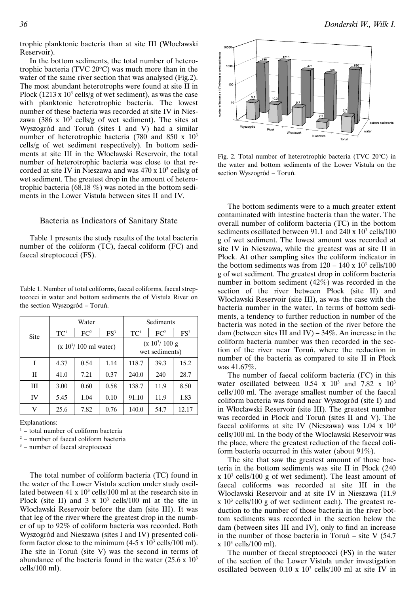trophic planktonic bacteria than at site III (Włocławski Reservoir).

In the bottom sediments, the total number of heterotrophic bacteria (TVC  $20^{\circ}$ C) was much more than in the water of the same river section that was analysed (Fig.2). The most abundant heterotrophs were found at site II in Płock (1213 x  $10^3$  cells/g of wet sediment), as was the case with planktonic heterotrophic bacteria. The lowest number of these bacteria was recorded at site IV in Nieszawa (386 x  $10<sup>3</sup>$  cells/g of wet sediment). The sites at Wyszogród and Toruń (sites I and V) had a similar number of heterotrophic bacteria (780 and 850 x 10<sup>3</sup>) cells/g of wet sediment respectively). In bottom sediments at site III in the Włocławski Reservoir, the total number of heterotrophic bacteria was close to that recorded at site IV in Nieszawa and was  $470 \times 10^3$  cells/g of wet sediment. The greatest drop in the amount of heterotrophic bacteria (68.18 %) was noted in the bottom sediments in the Lower Vistula between sites II and IV.

# Bacteria as Indicators of Sanitary State

Table 1 presents the study results of the total bacteria number of the coliform (TC), faecal coliform (FC) and faecal streptococci (FS).

Table 1. Number of total coliforms, faecal coliforms, faecal streptococci in water and bottom sediments the of Vistula River on the section Wyszogród – Toruń.

| Site        |                 | Water                            |        | Sediments                           |                 |        |  |
|-------------|-----------------|----------------------------------|--------|-------------------------------------|-----------------|--------|--|
|             | TC <sup>1</sup> | FC <sup>2</sup>                  | $FS^3$ | TC <sup>1</sup>                     | FC <sup>2</sup> | $FS^3$ |  |
|             |                 | $(x 10^3/ 100 \text{ ml water})$ |        | $(x 10^3/ 100 g)$<br>wet sediments) |                 |        |  |
| I           | 4.37            | 0.54                             | 1.14   | 118.7                               | 39.3            | 15.2   |  |
| $_{\rm II}$ | 41.0            | 7.21                             | 0.37   | 240.0                               | 240             | 28.7   |  |
| IΙI         | 3.00            | 0.60                             | 0.58   | 138.7                               | 11.9            | 8.50   |  |
| IV          | 5.45            | 1.04                             | 0.10   | 91.10                               | 11.9            | 1.83   |  |
| V           | 25.6            | 7.82                             | 0.76   | 140.0                               | 54.7            | 12.17  |  |

Explanations:

 $1 -$  total number of coliform bacteria

<sup>2</sup> – number of faecal coliform bacteria

<sup>3</sup> – number of faecal streptococci

The total number of coliform bacteria (TC) found in the water of the Lower Vistula section under study oscillated between  $41 \times 10^3$  cells/100 ml at the research site in Płock (site II) and  $3 \times 10^3$  cells/100 ml at the site in Włocławski Reservoir before the dam (site III). It was that leg of the river where the greatest drop in the number of up to 92% of coliform bacteria was recorded. Both Wyszogród and Nieszawa (sites I and IV) presented coliform factor close to the minimum  $(4-5 \times 10^3 \text{ cells}/100 \text{ ml})$ . The site in Toruń (site V) was the second in terms of abundance of the bacteria found in the water  $(25.6 \times 10^3)$ cells/100 ml).



Fig. 2. Total number of heterotrophic bacteria (TVC 20°C) in the water and bottom sediments of the Lower Vistula on the section Wyszogród – Toruń.

The bottom sediments were to a much greater extent contaminated with intestine bacteria than the water. The overall number of coliform bacteria (TC) in the bottom sediments oscillated between 91.1 and  $240 \times 10^3$  cells/100 g of wet sediment. The lowest amount was recorded at site IV in Nieszawa, while the greatest was at site II in Płock. At other sampling sites the coliform indicator in the bottom sediments was from  $120 - 140 \times 10^3$  cells/100 g of wet sediment. The greatest drop in coliform bacteria number in bottom sediment (42%) was recorded in the section of the river between Płock (site II) and Włocławski Reservoir (site III), as was the case with the bacteria number in the water. In terms of bottom sediments, a tendency to further reduction in number of the bacteria was noted in the section of the river before the dam (between sites III and IV) –  $34\%$ . An increase in the coliform bacteria number was then recorded in the section of the river near Toruń, where the reduction in number of the bacteria as compared to site II in Płock was 41.67%.

The number of faecal coliform bacteria (FC) in this water oscillated between  $0.54 \times 10^3$  and  $7.82 \times 10^3$ cells/100 ml. The average smallest number of the faecal coliform bacteria was found near Wyszogród (site I) and in Włocławski Reservoir (site III). The greatest number was recorded in Płock and Toruń (sites II and V). The faecal coliforms at site IV (Nieszawa) was  $1.04 \times 10^3$ cells/100 ml. In the body of the Włocławski Reservoir was the place, where the greatest reduction of the faecal coliform bacteria occurred in this water (about 91%).

The site that saw the greatest amount of those bacteria in the bottom sediments was site II in Płock (240  $x$  10<sup>3</sup> cells/100 g of wet sediment). The least amount of faecal coliforms was recorded at site III in the Włocławski Reservoir and at site IV in Nieszawa (11.9  $x 10<sup>3</sup>$  cells/100 g of wet sediment each). The greatest reduction to the number of those bacteria in the river bottom sediments was recorded in the section below the dam (between sites III and IV), only to find an increase in the number of those bacteria in Toruń – site  $V$  (54.7)  $\rm x$  10<sup>3</sup> cells/100 ml).

The number of faecal streptococci (FS) in the water of the section of the Lower Vistula under investigation oscillated between  $0.10 \times 10^3$  cells/100 ml at site IV in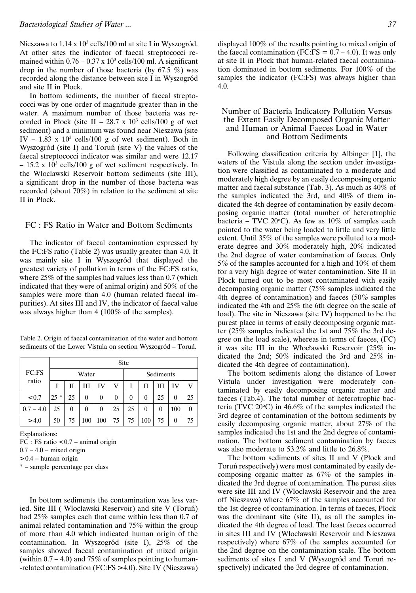Nieszawa to 1.14 x 10<sup>3</sup> cells/100 ml at site I in Wyszogród. At other sites the indicator of faecal streptococci remained within  $0.76 - 0.37 \times 10^3$  cells/100 ml. A significant drop in the number of those bacteria (by 67.5 %) was recorded along the distance between site I in Wyszogród and site II in Płock.

In bottom sediments, the number of faecal streptococci was by one order of magnitude greater than in the water. A maximum number of those bacteria was recorded in Płock (site II – 28.7 x  $10^3$  cells/100 g of wet sediment) and a minimum was found near Nieszawa (site IV – 1.83 x  $10^3$  cells/100 g of wet sediment). Both in Wyszogród (site I) and Toruń (site V) the values of the faecal streptococci indicator was similar and were 12.17  $- 15.2$  x 10<sup>3</sup> cells/100 g of wet sediment respectively. In the Włocławski Reservoir bottom sediments (site III), a significant drop in the number of those bacteria was recorded (about 70%) in relation to the sediment at site II in Płock.

# FC : FS Ratio in Water and Bottom Sediments

The indicator of faecal contamination expressed by the FC:FS ratio (Table 2) was usually greater than 4.0. It was mainly site I in Wyszogród that displayed the greatest variety of pollution in terms of the FC:FS ratio, where 25% of the samples had values less than 0.7 (which indicated that they were of animal origin) and 50% of the samples were more than 4.0 (human related faecal impurities). At sites III and IV, the indicator of faecal value was always higher than 4 (100% of the samples).

| Table 2. Origin of faecal contamination of the water and bottom |  |  |
|-----------------------------------------------------------------|--|--|
| sediments of the Lower Vistula on section Wyszogród – Toruń.    |  |  |

|                |        | Site |                |     |    |           |     |    |     |    |  |
|----------------|--------|------|----------------|-----|----|-----------|-----|----|-----|----|--|
| FC:FS<br>ratio |        |      | Water          |     |    | Sediments |     |    |     |    |  |
|                |        | н    | Ш              | IV  | V  |           | П   | Ш  | IV  |    |  |
| < 0.7          | $25 *$ | 25   | $\theta$       | 0   | 0  | 0         | 0   | 25 | 0   | 25 |  |
| $0.7 - 4.0$    | 25     | 0    | $\overline{0}$ | 0   | 25 | 25        | 0   | 0  | 100 |    |  |
| > 4.0          | 50     | 75   | 100            | 100 | 75 | 75        | 100 | 75 | 0   | 75 |  |

Explanations:  $FC : FS$  ratio  $< 0.7$  – animal origin  $0.7 - 4.0$  – mixed origin  $> 0.4$  – human origin

\* – sample percentage per class

In bottom sediments the contamination was less varied. Site III ( Włocławski Reservoir) and site V (Toruń) had 25% samples each that came within less than 0.7 of animal related contamination and 75% within the group of more than 4.0 which indicated human origin of the contamination. In Wyszogród (site I), 25% of the samples showed faecal contamination of mixed origin (within  $0.7 - 4.0$ ) and 75% of samples pointing to human--related contamination (FC:FS > 4.0). Site IV (Nieszawa)

displayed 100% of the results pointing to mixed origin of the faecal contamination (FC:FS =  $0.7 - 4.0$ ). It was only at site II in Płock that human-related faecal contamination dominated in bottom sediments. For 100% of the samples the indicator (FC:FS) was always higher than 4.0.

#### Number of Bacteria Indicatory Pollution Versus the Extent Easily Decomposed Organic Matter and Human or Animal Faeces Load in Water and Bottom Sediments

Following classification criteria by Albinger [1], the waters of the Vistula along the section under investigation were classified as contaminated to a moderate and moderately high degree by an easily decomposing organic matter and faecal substance (Tab. 3). As much as 40% of the samples indicated the 3rd, and 40% of them indicated the 4th degree of contamination by easily decomposing organic matter (total number of heterotrophic bacteria – TVC 20°C). As few as  $10\%$  of samples each pointed to the water being loaded to little and very little extent. Until 35% of the samples were polluted to a moderate degree and 30% moderately high, 20% indicated the 2nd degree of water contamination of faeces. Only 5% of the samples accounted for a high and 10% of them for a very high degree of water contamination. Site II in Płock turned out to be most contaminated with easily decomposing organic matter (75% samples indicated the 4th degree of contamination) and faeces (50% samples indicated the 4th and 25% the 6th degree on the scale of load). The site in Nieszawa (site IV) happened to be the purest place in terms of easily decomposing organic matter (25% samples indicated the 1st and 75% the 3rd degree on the load scale), whereas in terms of faeces, (FC) it was site III in the Włocławski Reservoir (25% indicated the 2nd; 50% indicated the 3rd and 25% indicated the 4th degree of contamination).

The bottom sediments along the distance of Lower Vistula under investigation were moderately contaminated by easily decomposing organic matter and faeces (Tab.4). The total number of heterotrophic bacteria (TVC  $20^{\circ}$ C) in 46.6% of the samples indicated the 3rd degree of contamination of the bottom sediments by easily decomposing organic matter, about 27% of the samples indicated the 1st and the 2nd degree of contamination. The bottom sediment contamination by faeces was also moderate to 53.2% and little to 26.8%.

The bottom sediments of sites II and V (Płock and Toruń respectively) were most contaminated by easily decomposing organic matter as 67% of the samples indicated the 3rd degree of contamination. The purest sites were site III and IV (Włocławski Reservoir and the area off Nieszawa) where 67% of the samples accounted for the 1st degree of contamination. In terms of faeces, Płock was the dominant site (site II), as all the samples indicated the 4th degree of load. The least faeces occurred in sites III and IV (Włocławski Reservoir and Nieszawa respectively) where 67% of the samples accounted for the 2nd degree on the contamination scale. The bottom sediments of sites I and V (Wyszogród and Toruń respectively) indicated the 3rd degree of contamination.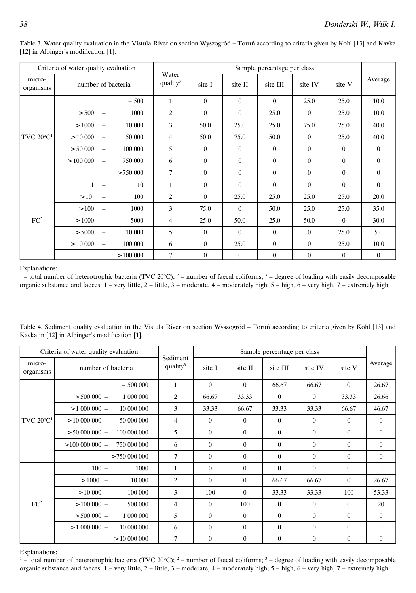| Criteria of water quality evaluation |                    |                          |          |                               |          |                |          |                |                |                |
|--------------------------------------|--------------------|--------------------------|----------|-------------------------------|----------|----------------|----------|----------------|----------------|----------------|
| micro-<br>organisms                  | number of bacteria |                          |          | Water<br>quality <sup>3</sup> | site I   | site II        | site III | site IV        | site V         | Average        |
| TVC $20^{\circ}C^1$                  |                    |                          | $-500$   | $\mathbf{1}$                  | $\theta$ | $\theta$       | $\theta$ | 25.0           | 25.0           | 10.0           |
|                                      | > 500              | $\equiv$                 | 1000     | 2                             | $\theta$ | $\overline{0}$ | 25.0     | $\overline{0}$ | 25.0           | 10.0           |
|                                      | >1000              | $\overline{\phantom{m}}$ | 10 000   | 3                             | 50.0     | 25.0           | 25.0     | 75.0           | 25.0           | 40.0           |
|                                      | > 10000            | $\overline{\phantom{m}}$ | 50 000   | 4                             | 50.0     | 75.0           | 50.0     | $\theta$       | 25.0           | 40.0           |
|                                      | > 50000            | $\equiv$                 | 100 000  | 5                             | $\theta$ | $\theta$       | $\theta$ | $\theta$       | $\overline{0}$ | $\theta$       |
|                                      | >100000            | $\equiv$                 | 750 000  | 6                             | $\theta$ | $\Omega$       | $\theta$ | $\theta$       | $\overline{0}$ | $\overline{0}$ |
|                                      |                    |                          | > 750000 | $\overline{7}$                | $\theta$ | $\theta$       | $\theta$ | $\theta$       | $\overline{0}$ | $\overline{0}$ |
|                                      | $\mathbf{1}$       | $\frac{1}{2}$            | 10       | 1                             | $\theta$ | $\theta$       | $\theta$ | $\theta$       | $\theta$       | $\theta$       |
|                                      | >10                |                          | 100      | $\overline{c}$                | $\theta$ | 25.0           | 25.0     | 25.0           | 25.0           | 20.0           |
|                                      | $>100$             | $\overline{\phantom{0}}$ | 1000     | 3                             | 75.0     | $\theta$       | 50.0     | 25.0           | 25.0           | 35.0           |
| FC <sup>2</sup>                      | >1000              |                          | 5000     | 4                             | 25.0     | 50.0           | 25.0     | 50.0           | $\theta$       | 30.0           |
|                                      | > 5000             | $\overline{\phantom{0}}$ | 10 000   | 5                             | $\theta$ | $\theta$       | $\theta$ | $\theta$       | 25.0           | 5.0            |
|                                      | > 10000            | $\overline{\phantom{0}}$ | 100 000  | 6                             | $\theta$ | 25.0           | $\theta$ | $\theta$       | 25.0           | 10.0           |
|                                      |                    |                          | >100000  | 7                             | $\theta$ | $\overline{0}$ | $\theta$ | $\theta$       | $\mathbf{0}$   | $\overline{0}$ |

Table 3. Water quality evaluation in the Vistula River on section Wyszogród – Toruń according to criteria given by Kohl [13] and Kavka [12] in Albinger's modification [1].

Explanations:

 $1 -$ total number of heterotrophic bacteria (TVC 20°C);  $2 -$  number of faecal coliforms;  $3 -$  degree of loading with easily decomposable organic substance and faeces: 1 – very little, 2 – little, 3 – moderate, 4 – moderately high, 5 – high, 6 – very high, 7 – extremely high.

| Table 4. Sediment quality evaluation in the Vistula River on section Wyszogród – Toruń according to criteria given by Kohl [13] and |  |  |  |
|-------------------------------------------------------------------------------------------------------------------------------------|--|--|--|
| Kavka in [12] in Albinger's modification [1].                                                                                       |  |  |  |

|                           | Criteria of water quality evaluation |                |                                  | Sample percentage per class |          |          |                |          |                |
|---------------------------|--------------------------------------|----------------|----------------------------------|-----------------------------|----------|----------|----------------|----------|----------------|
| micro-<br>organisms       | number of bacteria                   |                | Sediment<br>quality <sup>3</sup> | site I                      | site II  | site III | site IV        | site V   | Average        |
|                           |                                      | $-500000$      | $\mathbf{1}$                     | $\theta$                    | $\theta$ | 66.67    | 66.67          | $\theta$ | 26.67          |
|                           | $> 500000 -$                         | 1 000 000      | 2                                | 66.67                       | 33.33    | $\theta$ | $\overline{0}$ | 33.33    | 26.66          |
| $\rm TVC$ $20^{\rm o}C^1$ | $> 1000000 -$                        | 10 000 000     | 3                                | 33.33                       | 66.67    | 33.33    | 33.33          | 66.67    | 46.67          |
|                           | $>$ 10 000 000 $-$                   | 50 000 000     | 4                                | $\theta$                    | $\Omega$ | $\theta$ | $\theta$       | $\theta$ | $\theta$       |
|                           | $> 50000000 -$                       | 100 000 000    | 5                                | $\Omega$                    | $\theta$ | $\theta$ | $\theta$       | $\theta$ | $\mathbf{0}$   |
|                           | $>10000000 -$                        | 750 000 000    | 6                                | $\theta$                    | $\theta$ | $\theta$ | $\theta$       | $\theta$ | $\overline{0}$ |
|                           |                                      | > 750000000    | $\tau$                           | $\theta$                    | $\theta$ | $\theta$ | $\theta$       | $\theta$ | $\theta$       |
|                           | $100 -$                              | 1000           | 1                                | $\theta$                    | $\theta$ | $\theta$ | $\theta$       | $\Omega$ | $\theta$       |
|                           | >1000<br>$\sim$                      | 10 000         | $\overline{c}$                   | $\Omega$                    | $\Omega$ | 66.67    | 66.67          | $\theta$ | 26.67          |
|                           | $> 10000 -$                          | 100 000        | 3                                | 100                         | $\theta$ | 33.33    | 33.33          | 100      | 53.33          |
| FC <sup>2</sup>           | $>100000 -$                          | 500 000        | 4                                | $\left( \right)$            | 100      | $\theta$ | $\overline{0}$ | $\theta$ | 20             |
|                           | $> 500000 -$                         | 1 000 000      | 5                                | $\theta$                    | $\theta$ | $\theta$ | $\theta$       | $\theta$ | $\theta$       |
|                           | $> 1000000 -$                        | 10 000 000     | 6                                | $\theta$                    | $\theta$ | $\theta$ | $\theta$       | $\theta$ | $\theta$       |
|                           |                                      | $>$ 10 000 000 | 7                                | $\theta$                    | $\theta$ | $\theta$ | $\theta$       | $\Omega$ | $\overline{0}$ |

#### Explanations:

 $1 -$ total number of heterotrophic bacteria (TVC 20°C);  $2 -$  number of faecal coliforms;  $3 -$  degree of loading with easily decomposable organic substance and faeces: 1 – very little, 2 – little, 3 – moderate, 4 – moderately high, 5 – high, 6 – very high, 7 – extremely high.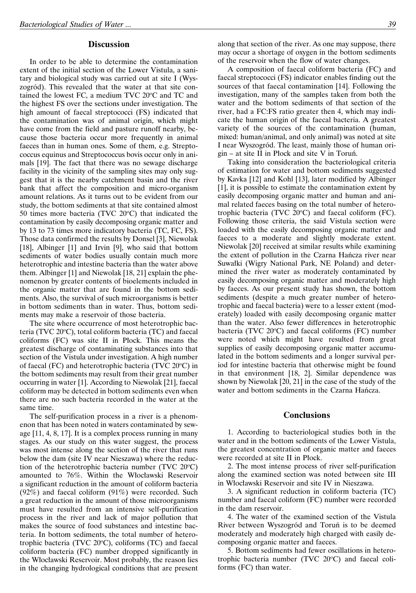# **Discussion**

In order to be able to determine the contamination extent of the initial section of the Lower Vistula, a sanitary and biological study was carried out at site I (Wyszogród). This revealed that the water at that site contained the lowest FC, a medium TVC 20°C and TC and the highest FS over the sections under investigation. The high amount of faecal streptococci (FS) indicated that the contamination was of animal origin, which might have come from the field and pasture runoff nearby, because those bacteria occur more frequently in animal faeces than in human ones. Some of them, e.g. Streptococcus equinus and Streptococcus bovis occur only in animals [19]. The fact that there was no sewage discharge facility in the vicinity of the sampling sites may only suggest that it is the nearby catchment basin and the river bank that affect the composition and micro-organism amount relations. As it turns out to be evident from our study, the bottom sediments at that site contained almost 50 times more bacteria (TVC  $20^{\circ}$ C) that indicated the contamination by easily decomposing organic matter and by 13 to 73 times more indicatory bacteria (TC, FC, FS). Those data confirmed the results by Donsel [3], Niewolak [18], Albinger [1] and Irvin [9], who said that bottom sediments of water bodies usually contain much more heterotrophic and intestine bacteria than the water above them. Albinger [1] and Niewolak [18, 21] explain the phenomenon by greater contents of bioelements included in the organic matter that are found in the bottom sediments. Also, the survival of such microorganisms is better in bottom sediments than in water. Thus, bottom sediments may make a reservoir of those bacteria.

The site where occurrence of most heterotrophic bacteria (TVC 20°C), total coliform bacteria (TC) and faecal coliforms (FC) was site II in Płock. This means the greatest discharge of contaminating substances into that section of the Vistula under investigation. A high number of faecal (FC) and heterotrophic bacteria (TVC 20°C) in the bottom sediments may result from their great number occurring in water [1]. According to Niewolak [21], faecal coliform may be detected in bottom sediments even when there are no such bacteria recorded in the water at the same time.

The self-purification process in a river is a phenomenon that has been noted in waters contaminated by sewage [11, 4, 8, 17]. It is a complex process running in many stages. As our study on this water suggest, the process was most intense along the section of the river that runs below the dam (site IV near Nieszawa) where the reduction of the heterotrophic bacteria number (TVC  $20^{\circ}$ C) amounted to 76%. Within the Włocławski Reservoir a significant reduction in the amount of coliform bacteria (92%) and faecal coliform (91%) were recorded. Such a great reduction in the amount of those microorganisms must have resulted from an intensive self-purification process in the river and lack of major pollution that makes the source of food substances and intestine bacteria. In bottom sediments, the total number of heterotrophic bacteria (TVC  $20^{\circ}$ C), coliforms (TC) and faecal coliform bacteria (FC) number dropped significantly in the Włocławski Reservoir. Most probably, the reason lies in the changing hydrological conditions that are present

along that section of the river. As one may suppose, there may occur a shortage of oxygen in the bottom sediments of the reservoir when the flow of water changes.

A composition of faecal coliform bacteria (FC) and faecal streptococci (FS) indicator enables finding out the sources of that faecal contamination [14]. Following the investigation, many of the samples taken from both the water and the bottom sediments of that section of the river, had a FC:FS ratio greater then 4, which may indicate the human origin of the faecal bacteria. A greatest variety of the sources of the contamination (human, mixed: human/animal, and only animal) was noted at site I near Wyszogród. The least, mainly those of human origin – at site II in Płock and site V in Toruń.

Taking into consideration the bacteriological criteria of estimation for water and bottom sediments suggested by Kavka [12] and Kohl [13], later modified by Albinger [1], it is possible to estimate the contamination extent by easily decomposing organic matter and human and animal related faeces basing on the total number of heterotrophic bacteria (TVC  $20^{\circ}$ C) and faecal coliform (FC). Following those criteria, the said Vistula section were loaded with the easily decomposing organic matter and faeces to a moderate and slightly moderate extent. Niewolak [20] received at similar results while examining the extent of pollution in the Czarna Hańcza river near Suwałki (Wigry National Park, NE Poland) and determined the river water as moderately contaminated by easily decomposing organic matter and moderately high by faeces. As our present study has shown, the bottom sediments (despite a much greater number of heterotrophic and faecal bacteria) were to a lesser extent (moderately) loaded with easily decomposing organic matter than the water. Also fewer differences in heterotrophic bacteria (TVC 20°C) and faecal coliforms (FC) number were noted which might have resulted from great supplies of easily decomposing organic matter accumulated in the bottom sediments and a longer survival period for intestine bacteria that otherwise might be found in that environment [18, 2]. Similar dependence was shown by Niewolak [20, 21] in the case of the study of the water and bottom sediments in the Czarna Hańcza.

# **Conclusions**

1. According to bacteriological studies both in the water and in the bottom sediments of the Lower Vistula, the greatest concentration of organic matter and faeces were recorded at site II in Płock.

2. The most intense process of river self-purification along the examined section was noted between site III in Włocławski Reservoir and site IV in Nieszawa.

3. A significant reduction in coliform bacteria (TC) number and faecal coliform (FC) number were recorded in the dam reservoir.

4. The water of the examined section of the Vistula River between Wyszogród and Toruń is to be deemed moderately and moderately high charged with easily decomposing organic matter and faeces.

5. Bottom sediments had fewer oscillations in heterotrophic bacteria number (TVC 20°C) and faecal coliforms (FC) than water.